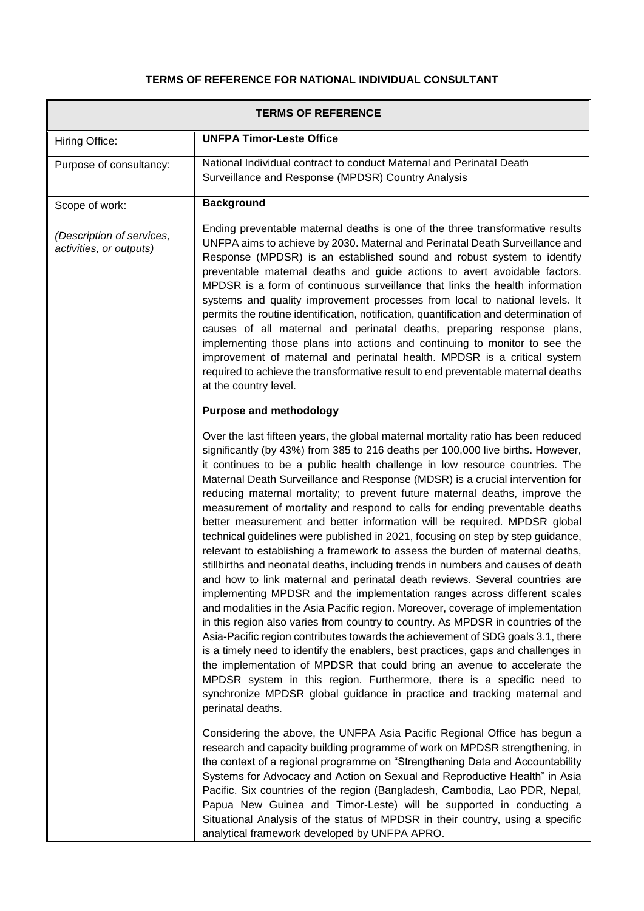## **TERMS OF REFERENCE FOR NATIONAL INDIVIDUAL CONSULTANT**

| <b>TERMS OF REFERENCE</b>                            |                                                                                                                                                                                                                                                                                                                                                                                                                                                                                                                                                                                                                                                                                                                                                                                                                                                                                                                                                                                                                                                                                                                                                                                                                                                                                                                                                                                                                                                                                                                                                                                                       |  |
|------------------------------------------------------|-------------------------------------------------------------------------------------------------------------------------------------------------------------------------------------------------------------------------------------------------------------------------------------------------------------------------------------------------------------------------------------------------------------------------------------------------------------------------------------------------------------------------------------------------------------------------------------------------------------------------------------------------------------------------------------------------------------------------------------------------------------------------------------------------------------------------------------------------------------------------------------------------------------------------------------------------------------------------------------------------------------------------------------------------------------------------------------------------------------------------------------------------------------------------------------------------------------------------------------------------------------------------------------------------------------------------------------------------------------------------------------------------------------------------------------------------------------------------------------------------------------------------------------------------------------------------------------------------------|--|
| Hiring Office:                                       | <b>UNFPA Timor-Leste Office</b>                                                                                                                                                                                                                                                                                                                                                                                                                                                                                                                                                                                                                                                                                                                                                                                                                                                                                                                                                                                                                                                                                                                                                                                                                                                                                                                                                                                                                                                                                                                                                                       |  |
| Purpose of consultancy:                              | National Individual contract to conduct Maternal and Perinatal Death<br>Surveillance and Response (MPDSR) Country Analysis                                                                                                                                                                                                                                                                                                                                                                                                                                                                                                                                                                                                                                                                                                                                                                                                                                                                                                                                                                                                                                                                                                                                                                                                                                                                                                                                                                                                                                                                            |  |
| Scope of work:                                       | <b>Background</b>                                                                                                                                                                                                                                                                                                                                                                                                                                                                                                                                                                                                                                                                                                                                                                                                                                                                                                                                                                                                                                                                                                                                                                                                                                                                                                                                                                                                                                                                                                                                                                                     |  |
| (Description of services,<br>activities, or outputs) | Ending preventable maternal deaths is one of the three transformative results<br>UNFPA aims to achieve by 2030. Maternal and Perinatal Death Surveillance and<br>Response (MPDSR) is an established sound and robust system to identify<br>preventable maternal deaths and guide actions to avert avoidable factors.<br>MPDSR is a form of continuous surveillance that links the health information<br>systems and quality improvement processes from local to national levels. It<br>permits the routine identification, notification, quantification and determination of<br>causes of all maternal and perinatal deaths, preparing response plans,<br>implementing those plans into actions and continuing to monitor to see the<br>improvement of maternal and perinatal health. MPDSR is a critical system<br>required to achieve the transformative result to end preventable maternal deaths<br>at the country level.                                                                                                                                                                                                                                                                                                                                                                                                                                                                                                                                                                                                                                                                         |  |
|                                                      | <b>Purpose and methodology</b>                                                                                                                                                                                                                                                                                                                                                                                                                                                                                                                                                                                                                                                                                                                                                                                                                                                                                                                                                                                                                                                                                                                                                                                                                                                                                                                                                                                                                                                                                                                                                                        |  |
|                                                      | Over the last fifteen years, the global maternal mortality ratio has been reduced<br>significantly (by 43%) from 385 to 216 deaths per 100,000 live births. However,<br>it continues to be a public health challenge in low resource countries. The<br>Maternal Death Surveillance and Response (MDSR) is a crucial intervention for<br>reducing maternal mortality; to prevent future maternal deaths, improve the<br>measurement of mortality and respond to calls for ending preventable deaths<br>better measurement and better information will be required. MPDSR global<br>technical guidelines were published in 2021, focusing on step by step guidance,<br>relevant to establishing a framework to assess the burden of maternal deaths,<br>stillbirths and neonatal deaths, including trends in numbers and causes of death<br>and how to link maternal and perinatal death reviews. Several countries are<br>implementing MPDSR and the implementation ranges across different scales<br>and modalities in the Asia Pacific region. Moreover, coverage of implementation<br>in this region also varies from country to country. As MPDSR in countries of the<br>Asia-Pacific region contributes towards the achievement of SDG goals 3.1, there<br>is a timely need to identify the enablers, best practices, gaps and challenges in<br>the implementation of MPDSR that could bring an avenue to accelerate the<br>MPDSR system in this region. Furthermore, there is a specific need to<br>synchronize MPDSR global guidance in practice and tracking maternal and<br>perinatal deaths. |  |
|                                                      | Considering the above, the UNFPA Asia Pacific Regional Office has begun a<br>research and capacity building programme of work on MPDSR strengthening, in<br>the context of a regional programme on "Strengthening Data and Accountability<br>Systems for Advocacy and Action on Sexual and Reproductive Health" in Asia<br>Pacific. Six countries of the region (Bangladesh, Cambodia, Lao PDR, Nepal,<br>Papua New Guinea and Timor-Leste) will be supported in conducting a<br>Situational Analysis of the status of MPDSR in their country, using a specific<br>analytical framework developed by UNFPA APRO.                                                                                                                                                                                                                                                                                                                                                                                                                                                                                                                                                                                                                                                                                                                                                                                                                                                                                                                                                                                      |  |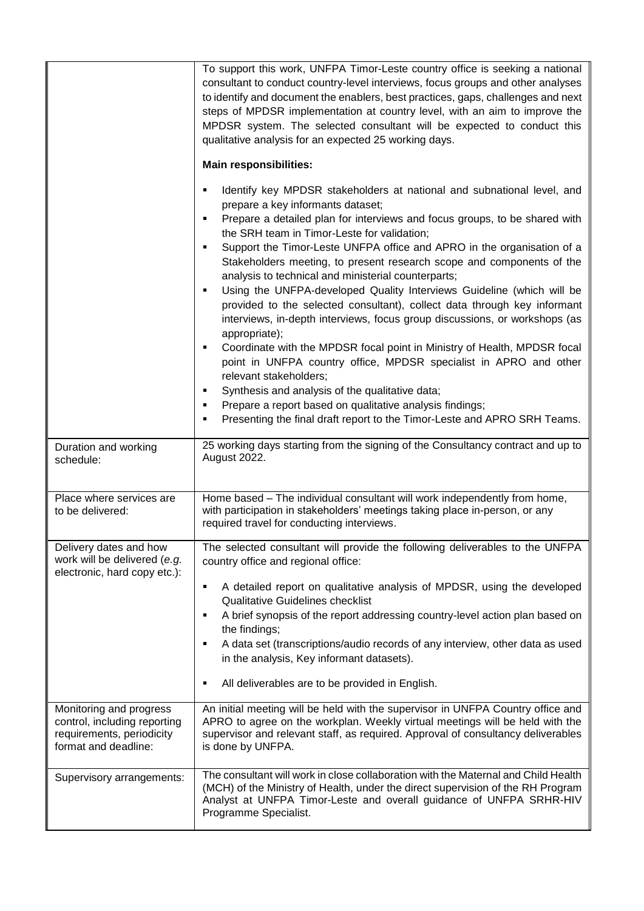|                                                                                                              | To support this work, UNFPA Timor-Leste country office is seeking a national<br>consultant to conduct country-level interviews, focus groups and other analyses<br>to identify and document the enablers, best practices, gaps, challenges and next<br>steps of MPDSR implementation at country level, with an aim to improve the<br>MPDSR system. The selected consultant will be expected to conduct this<br>qualitative analysis for an expected 25 working days.<br><b>Main responsibilities:</b>                                 |
|--------------------------------------------------------------------------------------------------------------|---------------------------------------------------------------------------------------------------------------------------------------------------------------------------------------------------------------------------------------------------------------------------------------------------------------------------------------------------------------------------------------------------------------------------------------------------------------------------------------------------------------------------------------|
|                                                                                                              |                                                                                                                                                                                                                                                                                                                                                                                                                                                                                                                                       |
|                                                                                                              | Identify key MPDSR stakeholders at national and subnational level, and<br>prepare a key informants dataset;<br>Prepare a detailed plan for interviews and focus groups, to be shared with<br>٠<br>the SRH team in Timor-Leste for validation;<br>Support the Timor-Leste UNFPA office and APRO in the organisation of a<br>Stakeholders meeting, to present research scope and components of the<br>analysis to technical and ministerial counterparts;<br>Using the UNFPA-developed Quality Interviews Guideline (which will be<br>٠ |
|                                                                                                              | provided to the selected consultant), collect data through key informant<br>interviews, in-depth interviews, focus group discussions, or workshops (as<br>appropriate);                                                                                                                                                                                                                                                                                                                                                               |
|                                                                                                              | Coordinate with the MPDSR focal point in Ministry of Health, MPDSR focal<br>point in UNFPA country office, MPDSR specialist in APRO and other<br>relevant stakeholders;                                                                                                                                                                                                                                                                                                                                                               |
|                                                                                                              | Synthesis and analysis of the qualitative data;                                                                                                                                                                                                                                                                                                                                                                                                                                                                                       |
|                                                                                                              | Prepare a report based on qualitative analysis findings;<br>Presenting the final draft report to the Timor-Leste and APRO SRH Teams.                                                                                                                                                                                                                                                                                                                                                                                                  |
| Duration and working<br>schedule:                                                                            | 25 working days starting from the signing of the Consultancy contract and up to<br>August 2022.                                                                                                                                                                                                                                                                                                                                                                                                                                       |
| Place where services are<br>to be delivered:                                                                 | Home based - The individual consultant will work independently from home,<br>with participation in stakeholders' meetings taking place in-person, or any<br>required travel for conducting interviews.                                                                                                                                                                                                                                                                                                                                |
| Delivery dates and how<br>work will be delivered (e.g.<br>electronic, hard copy etc.):                       | The selected consultant will provide the following deliverables to the UNFPA<br>country office and regional office:                                                                                                                                                                                                                                                                                                                                                                                                                   |
|                                                                                                              | A detailed report on qualitative analysis of MPDSR, using the developed<br><b>Qualitative Guidelines checklist</b>                                                                                                                                                                                                                                                                                                                                                                                                                    |
|                                                                                                              | A brief synopsis of the report addressing country-level action plan based on<br>٠<br>the findings;                                                                                                                                                                                                                                                                                                                                                                                                                                    |
|                                                                                                              | A data set (transcriptions/audio records of any interview, other data as used<br>in the analysis, Key informant datasets).                                                                                                                                                                                                                                                                                                                                                                                                            |
|                                                                                                              | All deliverables are to be provided in English.                                                                                                                                                                                                                                                                                                                                                                                                                                                                                       |
| Monitoring and progress<br>control, including reporting<br>requirements, periodicity<br>format and deadline: | An initial meeting will be held with the supervisor in UNFPA Country office and<br>APRO to agree on the workplan. Weekly virtual meetings will be held with the<br>supervisor and relevant staff, as required. Approval of consultancy deliverables<br>is done by UNFPA.                                                                                                                                                                                                                                                              |
| Supervisory arrangements:                                                                                    | The consultant will work in close collaboration with the Maternal and Child Health<br>(MCH) of the Ministry of Health, under the direct supervision of the RH Program<br>Analyst at UNFPA Timor-Leste and overall guidance of UNFPA SRHR-HIV<br>Programme Specialist.                                                                                                                                                                                                                                                                 |